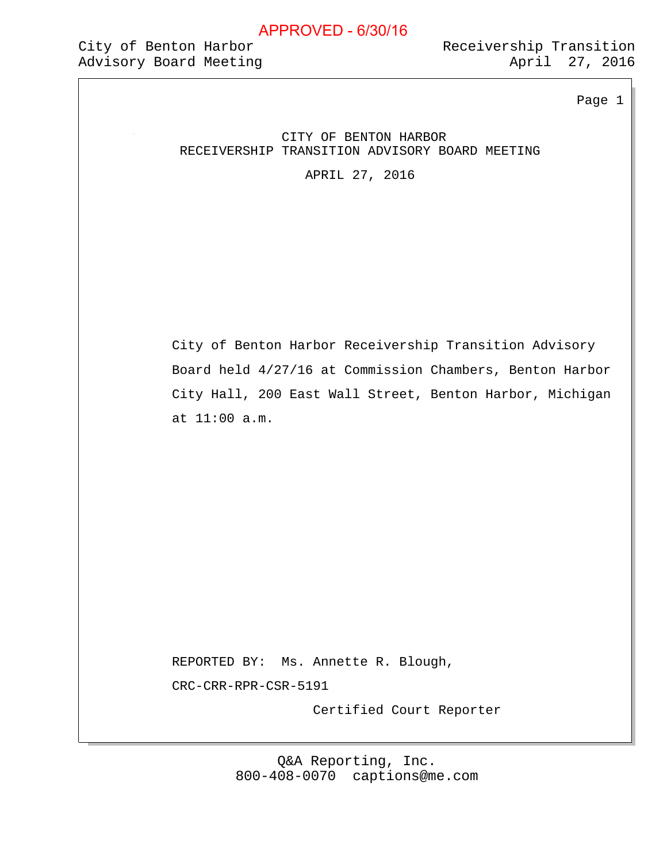#### City of Benton Harbor Advisory Board Meeting Advisory 2016

Receivership Transition

Page 1

#### CITY OF BENTON HARBOR RECEIVERSHIP TRANSITION ADVISORY BOARD MEETING

APRIL 27, 2016

City of Benton Harbor Receivership Transition Advisory Board held 4/27/16 at Commission Chambers, Benton Harbor City Hall, 200 East Wall Street, Benton Harbor, Michigan at 11:00 a.m.

REPORTED BY: Ms. Annette R. Blough, CRC-CRR-RPR-CSR-5191

Certified Court Reporter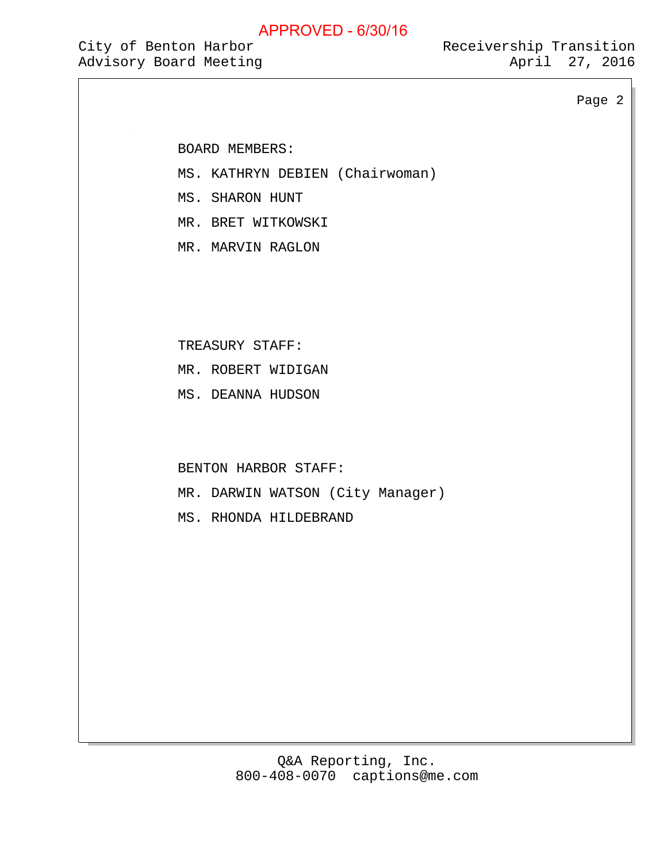# City of Benton Harbor

Advisory Board Meeting Advisory 2016 Receivership Transition

Page 2

BOARD MEMBERS:

MS. KATHRYN DEBIEN (Chairwoman)

MS. SHARON HUNT

MR. BRET WITKOWSKI

MR. MARVIN RAGLON

TREASURY STAFF:

MR. ROBERT WIDIGAN

MS. DEANNA HUDSON

BENTON HARBOR STAFF:

MR. DARWIN WATSON (City Manager)

MS. RHONDA HILDEBRAND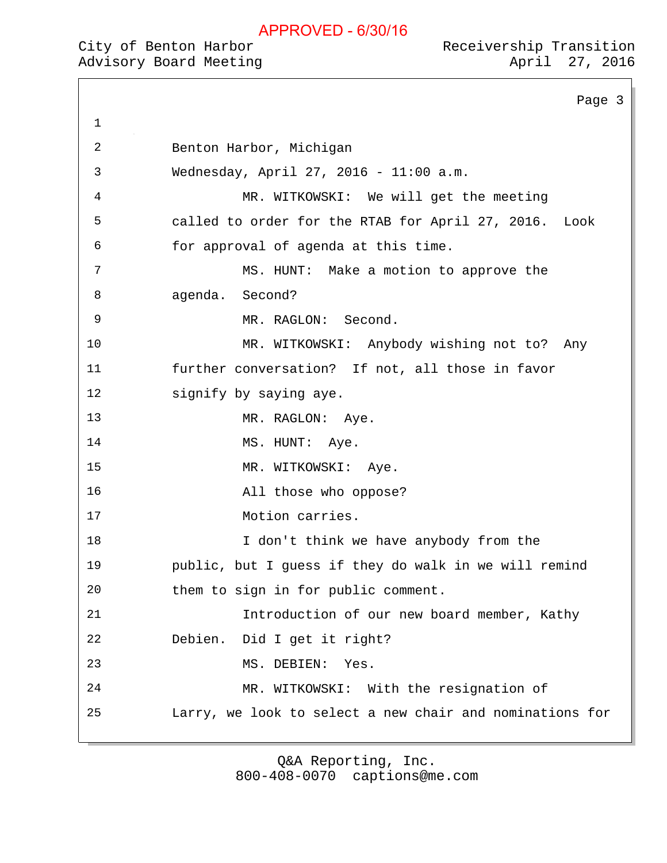## City of Benton Harbor

Page 3 1 2 Benton Harbor, Michigan 3 Wednesday, April 27, 2016 - 11:00 a.m. 4 MR. WITKOWSKI: We will get the meeting 5 called to order for the RTAB for April 27, 2016. Look 6 for approval of agenda at this time. 7 MS. HUNT: Make a motion to approve the 8 agenda. Second? 9 MR. RAGLON: Second. 10 MR. WITKOWSKI: Anybody wishing not to? Any 11 further conversation? If not, all those in favor 12 signify by saying aye. 13 MR. RAGLON: Aye. 14 MS. HUNT: Aye. 15 MR. WITKOWSKI: Aye. 16 All those who oppose? 17 Motion carries. 18 I don't think we have anybody from the 19 public, but I guess if they do walk in we will remind 20 them to sign in for public comment. 21 Introduction of our new board member, Kathy 22 Debien. Did I get it right? 23 MS. DEBIEN: Yes. 24 MR. WITKOWSKI: With the resignation of 25 Larry, we look to select a new chair and nominations for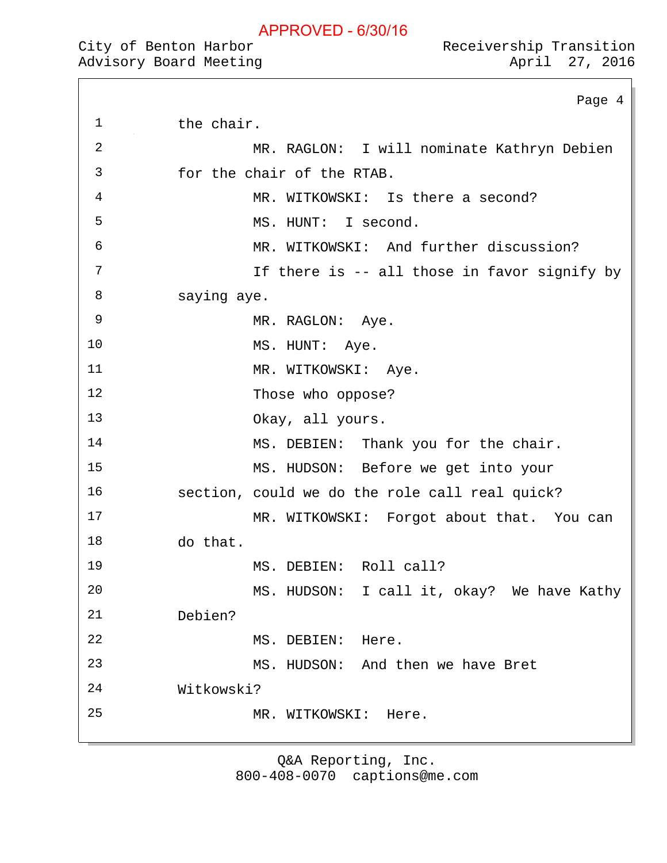City of Benton Harbor<br>Advisory Board Meeting Receivership Transition 27, 2016

Page 4

| CITY OI Benton Harbor  |  |  |
|------------------------|--|--|
| Advisory Board Meeting |  |  |

1 the chair.

| 2  | MR. RAGLON: I will nominate Kathryn Debien     |
|----|------------------------------------------------|
| 3  | for the chair of the RTAB.                     |
| 4  | MR. WITKOWSKI: Is there a second?              |
| 5  | MS. HUNT: I second.                            |
| 6  | MR. WITKOWSKI: And further discussion?         |
| 7  | If there is -- all those in favor signify by   |
| 8  | saying aye.                                    |
| 9  | MR. RAGLON: Aye.                               |
| 10 | MS. HUNT: Aye.                                 |
| 11 | MR. WITKOWSKI: Aye.                            |
| 12 | Those who oppose?                              |
| 13 | Okay, all yours.                               |
| 14 | MS. DEBIEN: Thank you for the chair.           |
| 15 | MS. HUDSON: Before we get into your            |
| 16 | section, could we do the role call real quick? |
| 17 | MR. WITKOWSKI: Forgot about that. You can      |
| 18 | do that.                                       |
| 19 | MS. DEBIEN: Roll call?                         |
| 20 | MS. HUDSON: I call it, okay? We have Kathy     |
| 21 | Debien?                                        |
| 22 | MS. DEBIEN: Here.                              |
| 23 | MS. HUDSON: And then we have Bret              |
| 24 | Witkowski?                                     |
| 25 | MR. WITKOWSKI: Here.                           |
|    |                                                |
|    |                                                |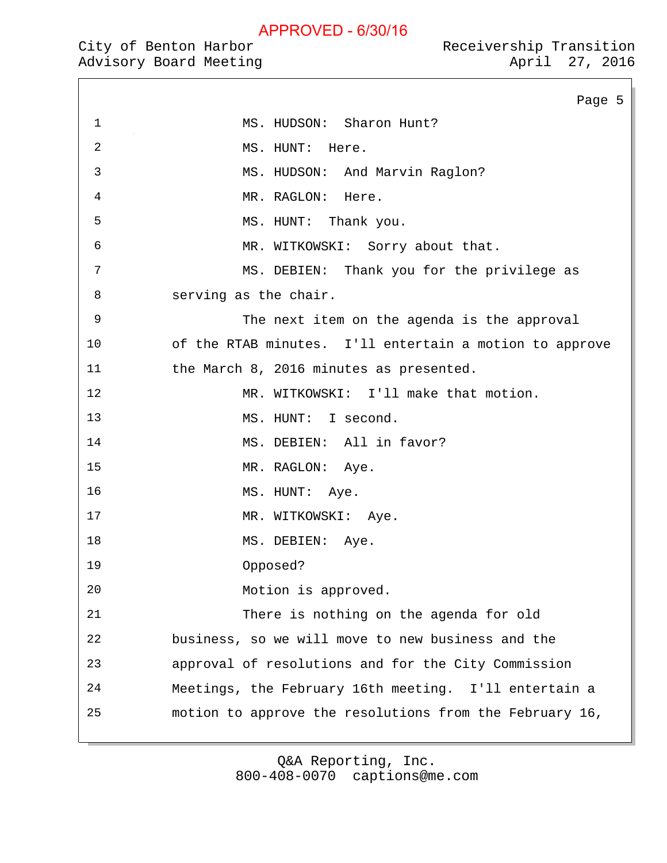1 MS. HUDSON: Sharon Hunt?

Page 5

City of Benton Harbor

2 MS. HUNT: Here. 3 MS. HUDSON: And Marvin Raglon? 4 MR. RAGLON: Here. 5 MS. HUNT: Thank you. 6 MR. WITKOWSKI: Sorry about that. 7 MS. DEBIEN: Thank you for the privilege as 8 serving as the chair. 9 The next item on the agenda is the approval 10 of the RTAB minutes. I'll entertain a motion to approve 11 the March 8, 2016 minutes as presented. 12 MR. WITKOWSKI: I'll make that motion. 13 MS. HUNT: I second. 14 MS. DEBIEN: All in favor? 15 MR. RAGLON: Aye. 16 MS. HUNT: Aye. 17 MR. WITKOWSKI: Aye. 18 MS. DEBIEN: Aye. 19 Opposed? 20 Motion is approved. 21 There is nothing on the agenda for old 22 business, so we will move to new business and the 23 approval of resolutions and for the City Commission 24 Meetings, the February 16th meeting. I'll entertain a 25 motion to approve the resolutions from the February 16,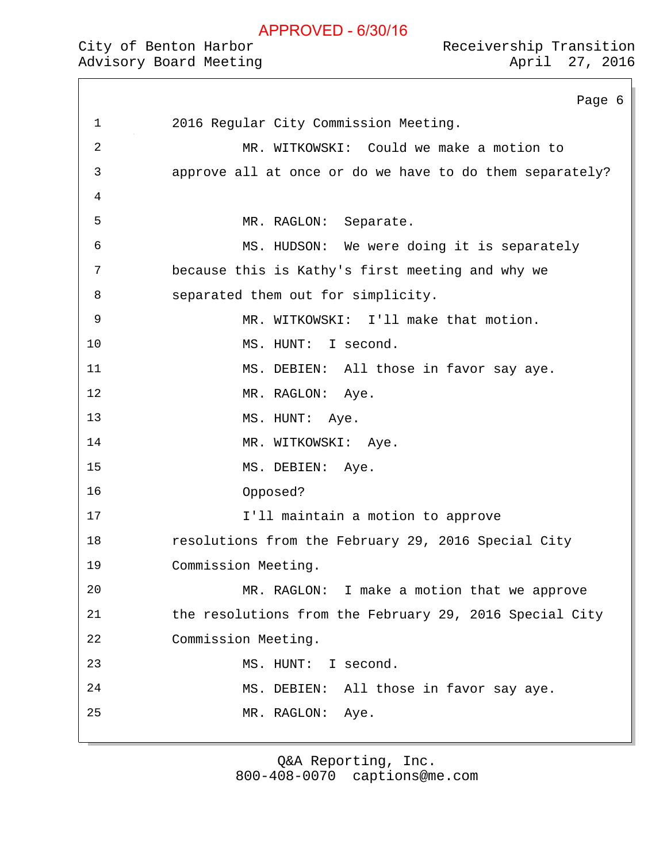## City of Benton Harbor

|                | Page 6                                                   |
|----------------|----------------------------------------------------------|
| $\mathbf 1$    | 2016 Regular City Commission Meeting.                    |
| $\overline{2}$ | MR. WITKOWSKI: Could we make a motion to                 |
| 3              | approve all at once or do we have to do them separately? |
| 4              |                                                          |
| 5              | MR. RAGLON: Separate.                                    |
| 6              | MS. HUDSON: We were doing it is separately               |
| 7              | because this is Kathy's first meeting and why we         |
| 8              | separated them out for simplicity.                       |
| $\mathsf 9$    | MR. WITKOWSKI: I'll make that motion.                    |
| 10             | MS. HUNT: I second.                                      |
| 11             | MS. DEBIEN: All those in favor say aye.                  |
| 12             | MR. RAGLON: Aye.                                         |
| 13             | MS. HUNT: Aye.                                           |
| 14             | MR. WITKOWSKI: Aye.                                      |
| 15             | MS. DEBIEN: Aye.                                         |
| 16             | Opposed?                                                 |
| 17             | I'll maintain a motion to approve                        |
| 18             | resolutions from the February 29, 2016 Special City      |
| 19             | Commission Meeting.                                      |
| 20             | MR. RAGLON: I make a motion that we approve              |
| 21             | the resolutions from the February 29, 2016 Special City  |
| 22             | Commission Meeting.                                      |
| 23             | I second.<br>MS. HUNT:                                   |
| 24             | All those in favor say aye.<br>MS. DEBIEN:               |
| 25             | MR. RAGLON:<br>Aye.                                      |
|                |                                                          |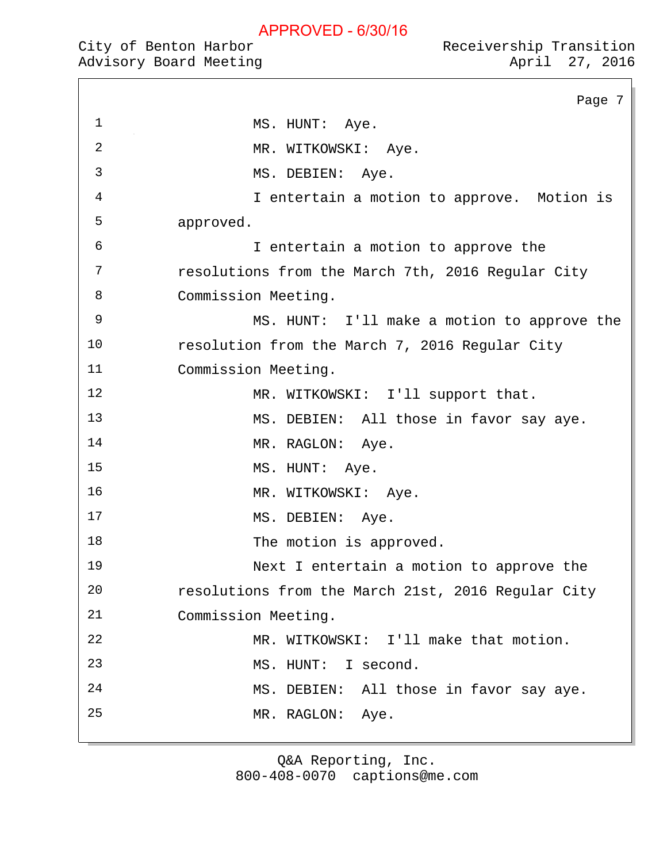|  | City of Benton Harbor |                        |
|--|-----------------------|------------------------|
|  |                       | Advisory Board Meeting |

|                | Page 7                                             |
|----------------|----------------------------------------------------|
| $\mathbf{1}$   | MS. HUNT: Aye.                                     |
| $\overline{2}$ | MR. WITKOWSKI: Aye.                                |
| 3              | MS. DEBIEN: Aye.                                   |
| 4              | I entertain a motion to approve. Motion is         |
| 5              | approved.                                          |
| 6              | I entertain a motion to approve the                |
| 7              | resolutions from the March 7th, 2016 Regular City  |
| 8              | Commission Meeting.                                |
| 9              | MS. HUNT: I'll make a motion to approve the        |
| 10             | resolution from the March 7, 2016 Regular City     |
| 11             | Commission Meeting.                                |
| 12             | MR. WITKOWSKI: I'll support that.                  |
| 13             | MS. DEBIEN: All those in favor say aye.            |
| 14             | MR. RAGLON: Aye.                                   |
| 15             | MS. HUNT: Aye.                                     |
| 16             | MR. WITKOWSKI: Aye.                                |
| 17             | MS. DEBIEN:<br>Aye.                                |
| 18             | The motion is approved.                            |
| 19             | Next I entertain a motion to approve the           |
| 20             | resolutions from the March 21st, 2016 Regular City |
| 21             | Commission Meeting.                                |
| 22             | MR. WITKOWSKI: I'll make that motion.              |
| 23             | I second.<br>MS. HUNT:                             |
| 24             | MS. DEBIEN: All those in favor say aye.            |
| 25             | MR. RAGLON: Aye.                                   |
|                |                                                    |

Q&A Reporting, Inc. 800-408-0070 captions@me.com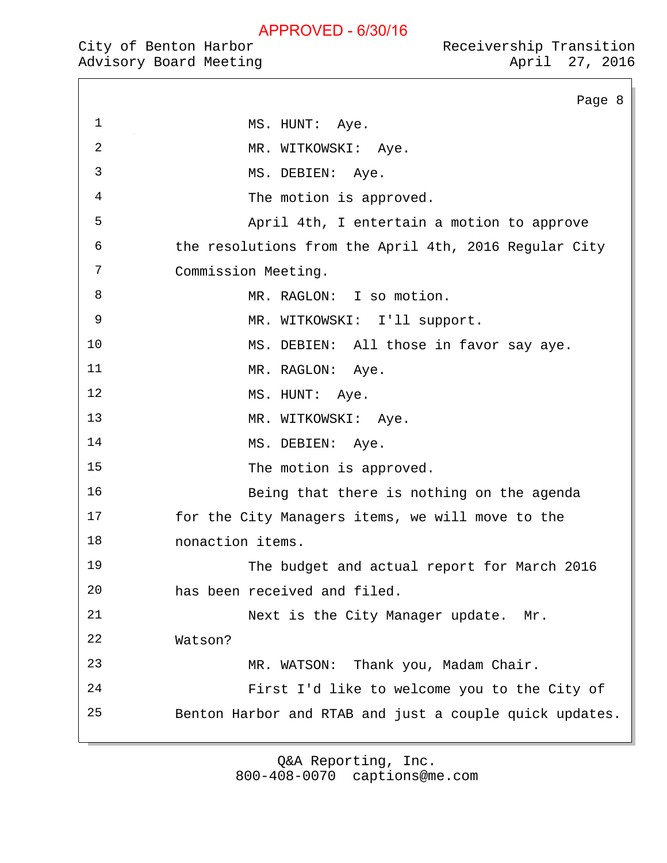|  | City of Benton Harbor |                        |
|--|-----------------------|------------------------|
|  |                       | Advisory Board Meeting |

|                | Page 8                                                  |
|----------------|---------------------------------------------------------|
| $\mathbf{1}$   | MS. HUNT: Aye.                                          |
| $\overline{2}$ | MR. WITKOWSKI: Aye.                                     |
| 3              | MS. DEBIEN: Aye.                                        |
| $\overline{4}$ | The motion is approved.                                 |
| 5              | April 4th, I entertain a motion to approve              |
| 6              | the resolutions from the April 4th, 2016 Regular City   |
| 7              | Commission Meeting.                                     |
| 8              | MR. RAGLON: I so motion.                                |
| 9              | MR. WITKOWSKI: I'll support.                            |
| 10             | MS. DEBIEN: All those in favor say aye.                 |
| 11             | MR. RAGLON: Aye.                                        |
| 12             | MS. HUNT: Aye.                                          |
| 13             | MR. WITKOWSKI: Aye.                                     |
| 14             | MS. DEBIEN: Aye.                                        |
| 15             | The motion is approved.                                 |
| 16             | Being that there is nothing on the agenda               |
| 17             | for the City Managers items, we will move to the        |
| 18             | nonaction items.                                        |
| 19             | The budget and actual report for March 2016             |
| 20             | has been received and filed.                            |
| 21             | Next is the City Manager update. Mr.                    |
| 22             | Watson?                                                 |
| 23             | MR. WATSON: Thank you, Madam Chair.                     |
| 24             | First I'd like to welcome you to the City of            |
| 25             | Benton Harbor and RTAB and just a couple quick updates. |
|                |                                                         |

Q&A Reporting, Inc.

800-408-0070 captions@me.com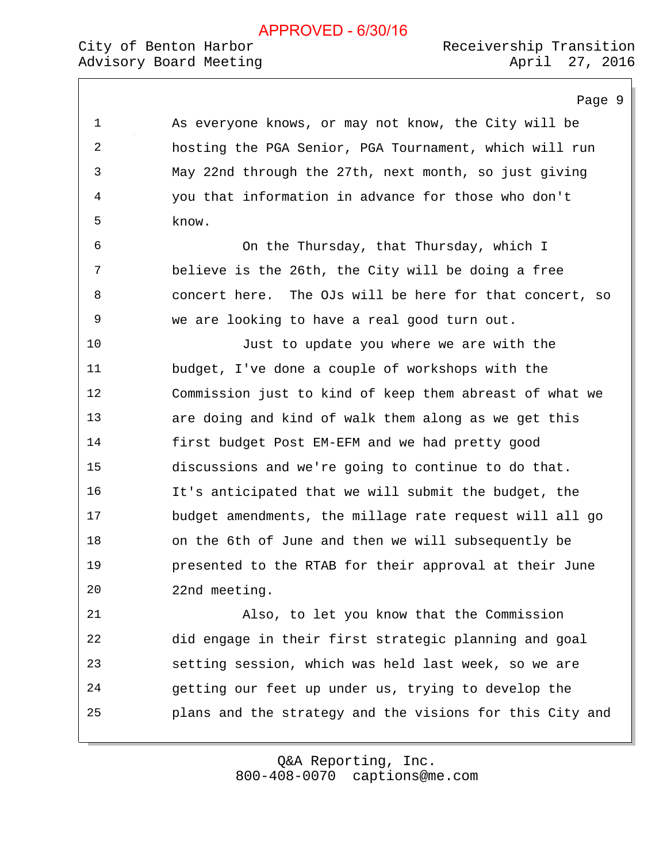#### City of Benton Harbor Advisory Board Meeting Advisory 2016

Page 9

1 As everyone knows, or may not know, the City will be 2 hosting the PGA Senior, PGA Tournament, which will run 3 May 22nd through the 27th, next month, so just giving 4 you that information in advance for those who don't 5 know. 6 On the Thursday, that Thursday, which I 7 believe is the 26th, the City will be doing a free 8 concert here. The OJs will be here for that concert, so 9 we are looking to have a real good turn out. 10 Just to update you where we are with the 11 budget, I've done a couple of workshops with the 12 Commission just to kind of keep them abreast of what we 13 are doing and kind of walk them along as we get this 14 first budget Post EM-EFM and we had pretty good 15 discussions and we're going to continue to do that. 16 It's anticipated that we will submit the budget, the 17 budget amendments, the millage rate request will all go 18 on the 6th of June and then we will subsequently be 19 presented to the RTAB for their approval at their June 20 22nd meeting. 21 Also, to let you know that the Commission 22 did engage in their first strategic planning and goal 23 setting session, which was held last week, so we are 24 getting our feet up under us, trying to develop the 25 plans and the strategy and the visions for this City and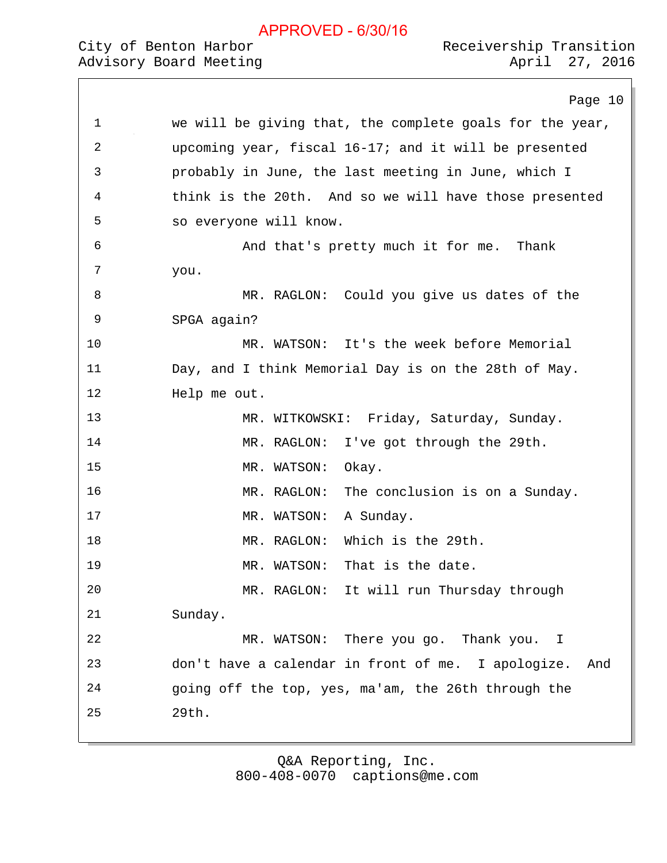# City of Benton Harbor

|    | Page 10                                                   |
|----|-----------------------------------------------------------|
| 1  | we will be giving that, the complete goals for the year,  |
| 2  | upcoming year, fiscal 16-17; and it will be presented     |
| 3  | probably in June, the last meeting in June, which I       |
| 4  | think is the 20th. And so we will have those presented    |
| 5  | so everyone will know.                                    |
| 6  | And that's pretty much it for me. Thank                   |
| 7  | you.                                                      |
| 8  | MR. RAGLON: Could you give us dates of the                |
| 9  | SPGA again?                                               |
| 10 | MR. WATSON: It's the week before Memorial                 |
| 11 | Day, and I think Memorial Day is on the 28th of May.      |
| 12 | Help me out.                                              |
| 13 | MR. WITKOWSKI: Friday, Saturday, Sunday.                  |
| 14 | MR. RAGLON:<br>I've got through the 29th.                 |
| 15 | Okay.<br>MR. WATSON:                                      |
| 16 | The conclusion is on a Sunday.<br>MR. RAGLON:             |
| 17 | A Sunday.<br>MR. WATSON:                                  |
| 18 | Which is the 29th.<br>MR. RAGLON:                         |
| 19 | That is the date.<br>MR. WATSON:                          |
| 20 | MR. RAGLON: It will run Thursday through                  |
| 21 | Sunday.                                                   |
| 22 | There you go. Thank you. I<br>MR. WATSON:                 |
| 23 | don't have a calendar in front of me. I apologize.<br>And |
| 24 | going off the top, yes, ma'am, the 26th through the       |
| 25 | 29th.                                                     |
|    |                                                           |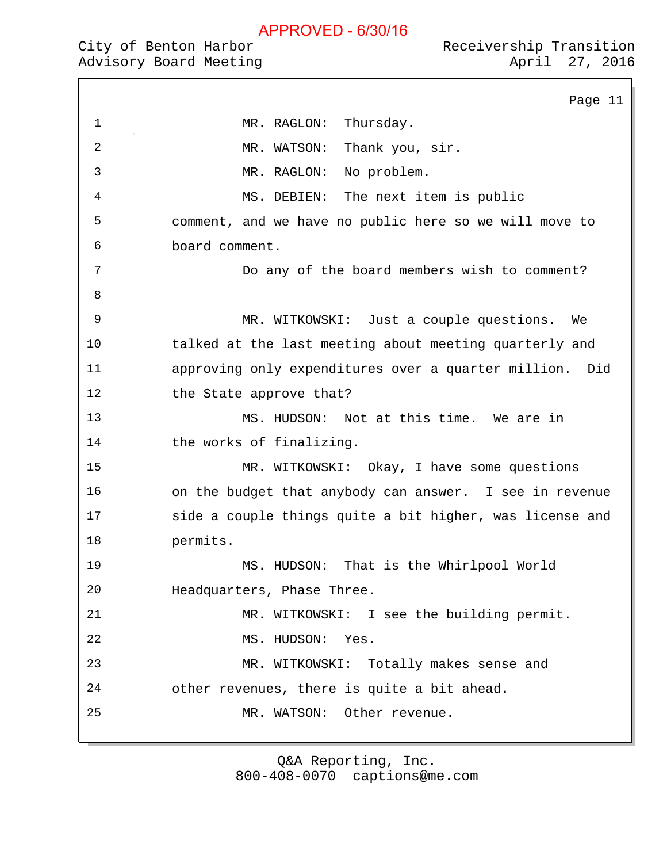|  | City of Benton Harbor |                        |
|--|-----------------------|------------------------|
|  |                       | Advisory Board Meeting |

Page 11 1 MR. RAGLON: Thursday. 2 MR. WATSON: Thank you, sir. 3 MR. RAGLON: No problem. 4 MS. DEBIEN: The next item is public 5 comment, and we have no public here so we will move to 6 board comment. 7 Do any of the board members wish to comment? 8 9 MR. WITKOWSKI: Just a couple questions. We 10 talked at the last meeting about meeting quarterly and 11 approving only expenditures over a quarter million. Did 12 the State approve that? 13 MS. HUDSON: Not at this time. We are in 14 the works of finalizing. 15 MR. WITKOWSKI: Okay, I have some questions 16 on the budget that anybody can answer. I see in revenue 17 side a couple things quite a bit higher, was license and 18 permits. 19 MS. HUDSON: That is the Whirlpool World 20 Headquarters, Phase Three. 21 MR. WITKOWSKI: I see the building permit. 22 MS. HUDSON: Yes. 23 MR. WITKOWSKI: Totally makes sense and 24 other revenues, there is quite a bit ahead. 25 MR. WATSON: Other revenue.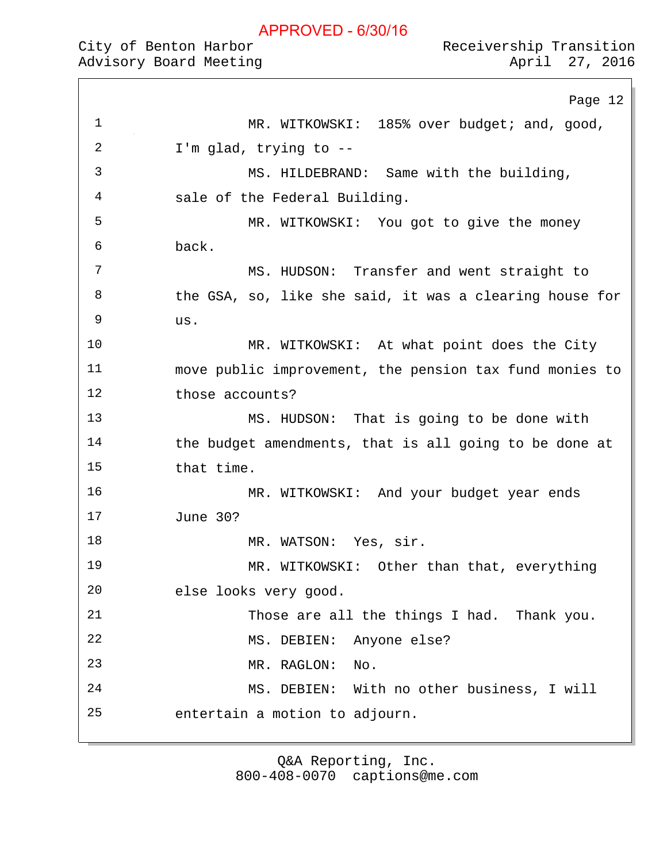| City of Benton Harbor  | Receivership Transition |                |
|------------------------|-------------------------|----------------|
| Advisory Board Meeting |                         | April 27, 2016 |

Page 12

| CILY OL BENLON HALDOL  | Receivership Transicion |                |  |
|------------------------|-------------------------|----------------|--|
| Advisory Board Meeting |                         | April 27, 2016 |  |

9 us.

| $\mathbf{1}$ | MR. WITKOWSKI: 185% over budget; and, good,             |
|--------------|---------------------------------------------------------|
| 2            | I'm glad, trying to $-$ -                               |
| 3            | MS. HILDEBRAND: Same with the building,                 |
| 4            | sale of the Federal Building.                           |
| 5            | MR. WITKOWSKI: You got to give the money                |
| 6            | back.                                                   |
| 7            | MS. HUDSON: Transfer and went straight to               |
| 8            | the GSA, so, like she said, it was a clearing house for |
| Q            |                                                         |

10 MR. WITKOWSKI: At what point does the City 11 move public improvement, the pension tax fund monies to 12 those accounts?

13 MS. HUDSON: That is going to be done with 14 the budget amendments, that is all going to be done at 15 that time.

16 MR. WITKOWSKI: And your budget year ends 17 June 30?

18 MR. WATSON: Yes, sir.

19 MR. WITKOWSKI: Other than that, everything 20 else looks very good. 21 Those are all the things I had. Thank you. 22 MS. DEBIEN: Anyone else? 23 MR. RAGLON: No.

24 MS. DEBIEN: With no other business, I will 25 entertain a motion to adjourn.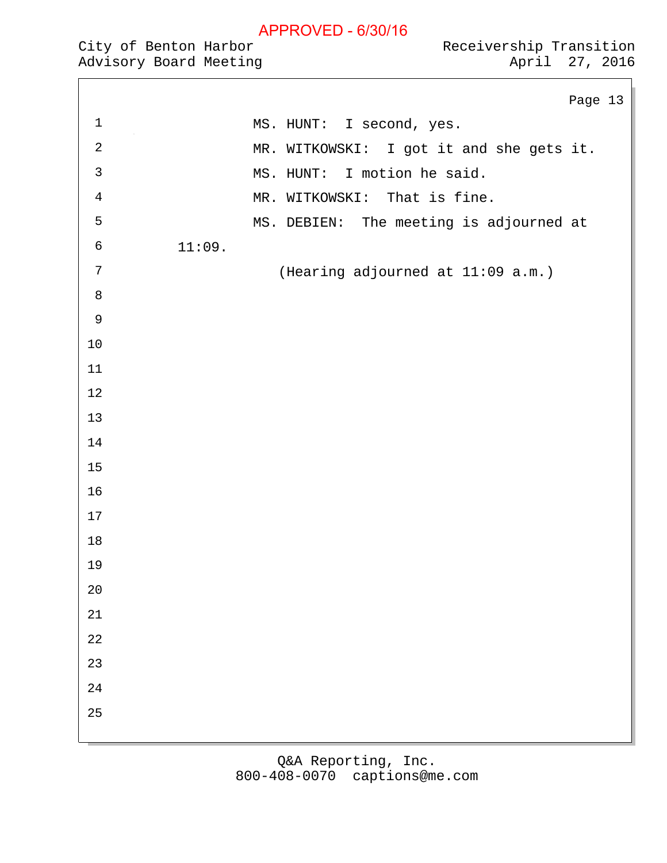Receivership Transition April 27, 2016

|  |                       | .                      |
|--|-----------------------|------------------------|
|  | City of Benton Harbor |                        |
|  |                       | Advisory Board Meeting |

|                |                                          | Page 13 |  |
|----------------|------------------------------------------|---------|--|
| $\mathbf{1}$   | MS. HUNT: I second, yes.                 |         |  |
| $\sqrt{2}$     | MR. WITKOWSKI: I got it and she gets it. |         |  |
| $\mathfrak{Z}$ | MS. HUNT: I motion he said.              |         |  |
| $\sqrt{4}$     | MR. WITKOWSKI: That is fine.             |         |  |
| 5              | MS. DEBIEN: The meeting is adjourned at  |         |  |
| $\sqrt{6}$     | 11:09.                                   |         |  |
| $\sqrt{ }$     | (Hearing adjourned at 11:09 a.m.)        |         |  |
| $\,8\,$        |                                          |         |  |
| $\overline{9}$ |                                          |         |  |
| $10\,$         |                                          |         |  |
| $11\,$         |                                          |         |  |
| $1\,2$         |                                          |         |  |
| 13             |                                          |         |  |
| 14             |                                          |         |  |
| 15             |                                          |         |  |
| 16             |                                          |         |  |
| $17\,$         |                                          |         |  |
| $18\,$         |                                          |         |  |
| 19             |                                          |         |  |
| $20\,$         |                                          |         |  |
| $21\,$         |                                          |         |  |
| $2\sqrt{2}$    |                                          |         |  |
| 23             |                                          |         |  |
| 24             |                                          |         |  |
| 25             |                                          |         |  |
|                |                                          |         |  |